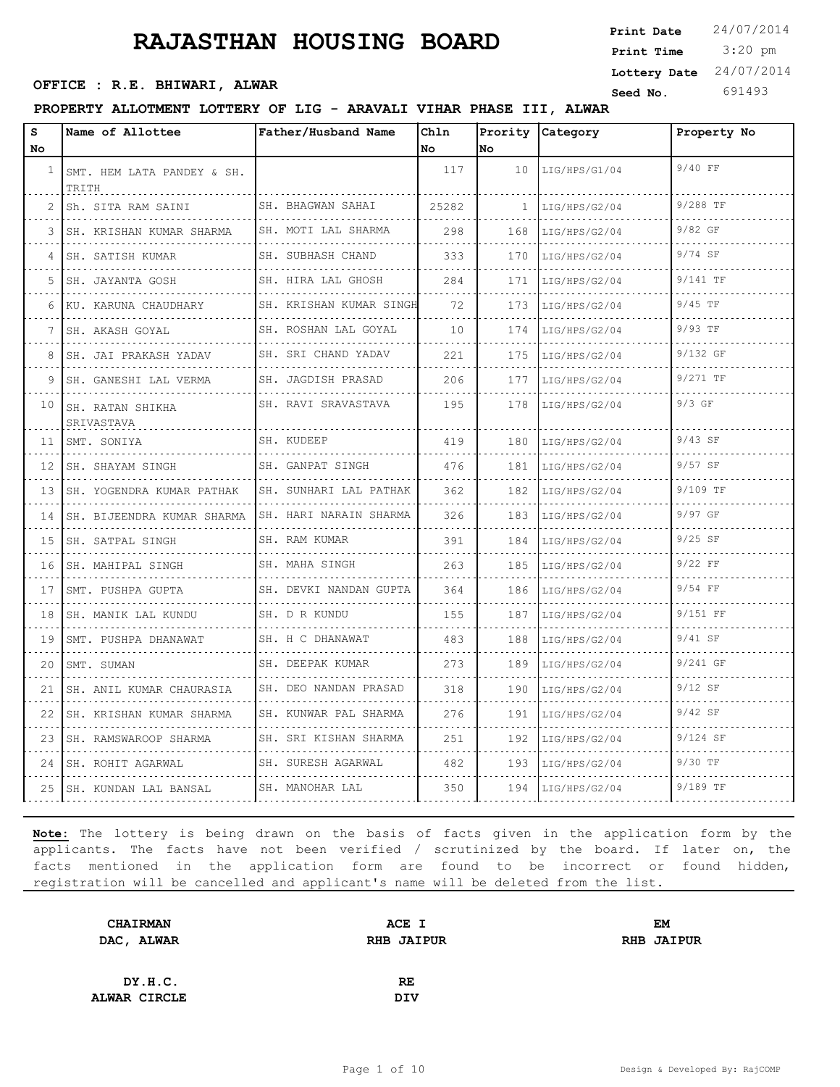3:20 pm **Print Date**  $24/07/2014$ **Print Time Seed No.** 691493 **OFFICE : R.E. BHIWARI, ALWAR Lottery Date** 24/07/2014

## **PROPERTY ALLOTMENT LOTTERY OF LIG - ARAVALI VIHAR PHASE III, ALWAR**

| s<br>No         | Name of Allottee                    | Father/Husband Name                          | Chln<br>No. | Prority<br>lNo.     | Category           | Property No   |
|-----------------|-------------------------------------|----------------------------------------------|-------------|---------------------|--------------------|---------------|
| $\mathbf{1}$    | SMT. HEM LATA PANDEY & SH.<br>TRITH |                                              | 117         | 10                  | LIG/HPS/G1/04      | 9/40 FF       |
| 2               | Sh. SITA RAM SAINI                  | SH. BHAGWAN SAHAI<br>.                       | 25282       | 1                   | LIG/HPS/G2/04<br>. | 9/288 TF<br>. |
| 3               | SH. KRISHAN KUMAR SHARMA            | SH. MOTI LAL SHARMA                          | 298         | 168                 | LIG/HPS/G2/04      | 9/82 GF       |
| 4               | SH. SATISH KUMAR                    | SH. SUBHASH CHAND                            | 333         | 170                 | LIG/HPS/G2/04      | 9/74 SF       |
| 5               | SH. JAYANTA GOSH                    | SH. HIRA LAL GHOSH                           | 284         | 171                 | LIG/HPS/G2/04      | 9/141 TF      |
| 6               | KU. KARUNA CHAUDHARY                | SH. KRISHAN KUMAR SINGH                      | 72          | 173                 | LIG/HPS/G2/04      | $9/45$ TF     |
| 7               | .<br>SH. AKASH GOYAL                | SH. ROSHAN LAL GOYAL                         | 10          | 174                 | LIG/HPS/G2/04      | 9/93 TF       |
| 8               | SH. JAI PRAKASH YADAV               | SH. SRI CHAND YADAV                          | 221         | 175<br>$-1 - 1 - 1$ | LIG/HPS/G2/04      | 9/132 GF      |
| 9               | SH. GANESHI LAL VERMA<br>.          | SH. JAGDISH PRASAD                           | 206         | 177                 | LIG/HPS/G2/04      | 9/271 TF      |
| 10              | SH. RATAN SHIKHA<br>SRIVASTAVA      | .<br>SH. RAVI SRAVASTAVA                     | 195         | 178                 | LIG/HPS/G2/04      | $9/3$ GF      |
| 11              | SMT. SONIYA                         | SH. KUDEEP                                   | 419         | 180                 | LIG/HPS/G2/04      | $9/43$ SF     |
| 12 <sup>1</sup> | SH. SHAYAM SINGH                    | SH. GANPAT SINGH                             | 476         | 181                 | LIG/HPS/G2/04      | $9/57$ SF     |
| 13 <sup>1</sup> | SH. YOGENDRA KUMAR PATHAK           | SH. SUNHARI LAL PATHAK                       | 362         | 182                 | LIG/HPS/G2/04      | 9/109 TF      |
| 14              | SH. BIJEENDRA KUMAR SHARMA          | SH. HARI NARAIN SHARMA                       | 326         | 183                 | LIG/HPS/G2/04      | 9/97 GF       |
| 15              | SH. SATPAL SINGH                    | SH. RAM KUMAR<br>.                           | 391         | 184                 | LIG/HPS/G2/04      | $9/25$ SF     |
| 16              | SH. MAHIPAL SINGH<br>.              | SH. MAHA SINGH<br>.                          | 263         | 185                 | LIG/HPS/G2/04      | $9/22$ FF     |
| 17              | SMT. PUSHPA GUPTA                   | SH. DEVKI NANDAN GUPTA                       | 364         | 186                 | LIG/HPS/G2/04      | $9/54$ FF     |
| 18              | SH. MANIK LAL KUNDU                 | SH. D R KUNDU<br>.                           | 155         | 187                 | LIG/HPS/G2/04      | 9/151 FF      |
| 19              | SMT. PUSHPA DHANAWAT                | SH. H C DHANAWAT<br><u>o dio dio dio dio</u> | 483         | 188                 | LIG/HPS/G2/04      | 9/41 SF       |
| 20              | SMT. SUMAN                          | SH. DEEPAK KUMAR                             | 273         | 189                 | LIG/HPS/G2/04      | 9/241 GF      |
| 21              | SH. ANIL KUMAR CHAURASIA            | SH. DEO NANDAN PRASAD                        | 318         | 190                 | LIG/HPS/G2/04      | $9/12$ SF     |
| 22              | SH. KRISHAN KUMAR SHARMA<br>.       | SH. KUNWAR PAL SHARMA<br>.                   | 276         | 191                 | LIG/HPS/G2/04      | $9/42$ SF     |
| 23              | SH. RAMSWAROOP SHARMA               | SH. SRI KISHAN SHARMA                        | 251         | 192                 | LIG/HPS/G2/04      | 9/124 SF      |
| 24              | SH. ROHIT AGARWAL                   | SH. SURESH AGARWAL                           | 482         | 193                 | LIG/HPS/G2/04      | 9/30 TF       |
|                 | 25 SH. KUNDAN LAL BANSAL            | SH. MANOHAR LAL                              | 350         | 194                 | LIG/HPS/G2/04      | 9/189 TF      |

| <b>CHAIRMAN</b> | ACE I             | EM                |
|-----------------|-------------------|-------------------|
| DAC, ALWAR      | <b>RHB JAIPUR</b> | <b>RHB JAIPUR</b> |
|                 |                   |                   |
| DY.H.C.         | RE                |                   |
| ALWAR CIRCLE    | <b>DIV</b>        |                   |
|                 |                   |                   |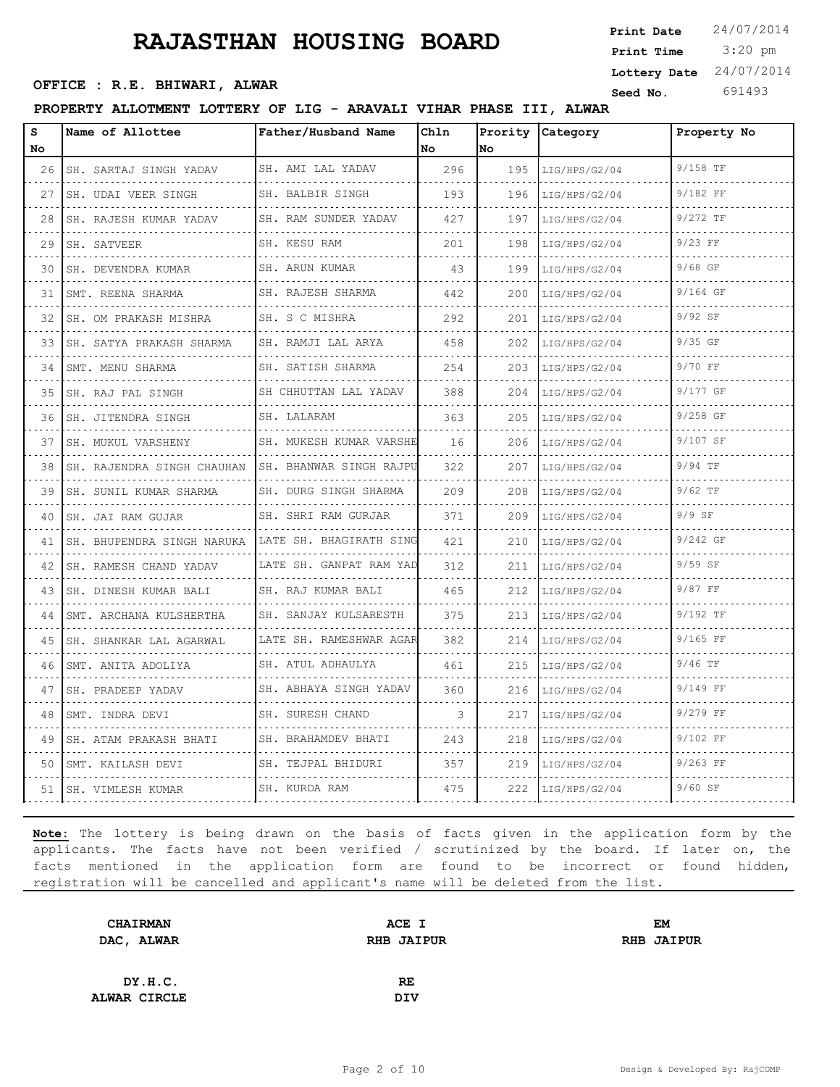3:20 pm **Print Date**  $24/07/2014$ **Print Time Seed No.** 691493 **OFFICE : R.E. BHIWARI, ALWAR Lottery Date** 24/07/2014

## **PROPERTY ALLOTMENT LOTTERY OF LIG - ARAVALI VIHAR PHASE III, ALWAR**

| s<br>No | Name of Allottee            | Father/Husband Name       | Chln<br>No. | Prority<br>No. | Category           | Property No                |
|---------|-----------------------------|---------------------------|-------------|----------------|--------------------|----------------------------|
| 26      | SH. SARTAJ SINGH YADAV      | SH. AMI LAL YADAV         | 296         | 195            | LIG/HPS/G2/04      | 9/158 TF                   |
| 27      | SH. UDAI VEER SINGH         | SH. BALBIR SINGH          | 193         | 196            | .<br>LIG/HPS/G2/04 | dia a dia a di<br>9/182 FF |
| 28      | .<br>SH. RAJESH KUMAR YADAV | .<br>SH. RAM SUNDER YADAV | 427         | 197            | LIG/HPS/G2/04      | 9/272 TF                   |
| 29      | SH. SATVEER                 | SH. KESU RAM              | 201         | 198            | LIG/HPS/G2/04      | $9/23$ FF                  |
| 30      | SH. DEVENDRA KUMAR          | SH. ARUN KUMAR            | 43          | 199            | .<br>LIG/HPS/G2/04 | $9/68$ GF                  |
| 31      | SMT. REENA SHARMA           | .<br>SH. RAJESH SHARMA    | 442         | 200            | LIG/HPS/G2/04      | 9/164 GF                   |
| 32      | SH. OM PRAKASH MISHRA       | SH. S C MISHRA            | 292         | 201            | LIG/HPS/G2/04      | 9/92 SF                    |
| 33      | SH. SATYA PRAKASH SHARMA    | SH. RAMJI LAL ARYA<br>.   | 458         | 202            | LIG/HPS/G2/04      | $9/35$ GF                  |
| 34      | SMT. MENU SHARMA            | SH. SATISH SHARMA         | 254         | 203            | LIG/HPS/G2/04      | 9/70 FF                    |
| 35      | SH. RAJ PAL SINGH           | SH CHHUTTAN LAL YADAV     | 388         | 204            | LIG/HPS/G2/04<br>. | 9/177 GF                   |
| 36      | SH. JITENDRA SINGH<br>.     | SH. LALARAM               | 363         | 205            | LIG/HPS/G2/04      | .<br>9/258 GF              |
| 37      | SH. MUKUL VARSHENY          | SH. MUKESH KUMAR VARSHE   | 16          | 206            | LIG/HPS/G2/04      | 9/107 SF                   |
| 38      | SH. RAJENDRA SINGH CHAUHAN  | SH. BHANWAR SINGH RAJPU   | 322         | 207            | LIG/HPS/G2/04<br>. | 9/94 TF                    |
| 39      | SH. SUNIL KUMAR SHARMA      | SH. DURG SINGH SHARMA     | 209         | 208            | LIG/HPS/G2/04      | $9/62$ TF                  |
| 40      | SH. JAI RAM GUJAR           | SH. SHRI RAM GURJAR       | 371         | 209            | LIG/HPS/G2/04      | $9/9$ SF                   |
| 41      | SH. BHUPENDRA SINGH NARUKA  | LATE SH. BHAGIRATH SING   | 421         | 210<br>.       | LIG/HPS/G2/04      | 9/242 GF                   |
| 42      | SH. RAMESH CHAND YADAV      | LATE SH. GANPAT RAM YAD   | 312         | 211            | LIG/HPS/G2/04      | $9/59$ SF                  |
| 43      | SH. DINESH KUMAR BALI       | SH. RAJ KUMAR BALI        | 465         | 212            | LIG/HPS/G2/04      | 9/87 FF                    |
| 44      | SMT. ARCHANA KULSHERTHA     | SH. SANJAY KULSARESTH     | 375         | 213            | LIG/HPS/G2/04      | 9/192 TF                   |
| 45      | SH. SHANKAR LAL AGARWAL     | LATE SH. RAMESHWAR AGAR   | 382         | 214            | LIG/HPS/G2/04      | 9/165 FF                   |
| 46      | SMT. ANITA ADOLIYA          | SH. ATUL ADHAULYA         | 461         | 215            | LIG/HPS/G2/04      | 9/46 TF                    |
| 47      | SH. PRADEEP YADAV           | SH. ABHAYA SINGH YADAV    | 360         | 216            | LIG/HPS/G2/04      | 9/149 FF                   |
| 48      | SMT. INDRA DEVI<br>.        | SH. SURESH CHAND<br>.     | 3           | 217            | LIG/HPS/G2/04      | 9/279 FF                   |
| 49      | SH. ATAM PRAKASH BHATI      | SH. BRAHAMDEV BHATI       | 243         | 218            | LIG/HPS/G2/04      | 9/102 FF                   |
| 50      | SMT. KAILASH DEVI           | SH. TEJPAL BHIDURI        | 357         | 219            | LIG/HPS/G2/04      | 9/263 FF                   |
| 51      | ISH. VIMLESH KUMAR          | SH. KURDA RAM             | 475         | 222            | LIG/HPS/G2/04      | $9/60$ SF                  |

| <b>CHAIRMAN</b> | ACE I             | EM                |
|-----------------|-------------------|-------------------|
| DAC, ALWAR      | <b>RHB JAIPUR</b> | <b>RHB JAIPUR</b> |
|                 |                   |                   |
| DY.H.C.         | RE                |                   |
| ALWAR CIRCLE    | <b>DIV</b>        |                   |
|                 |                   |                   |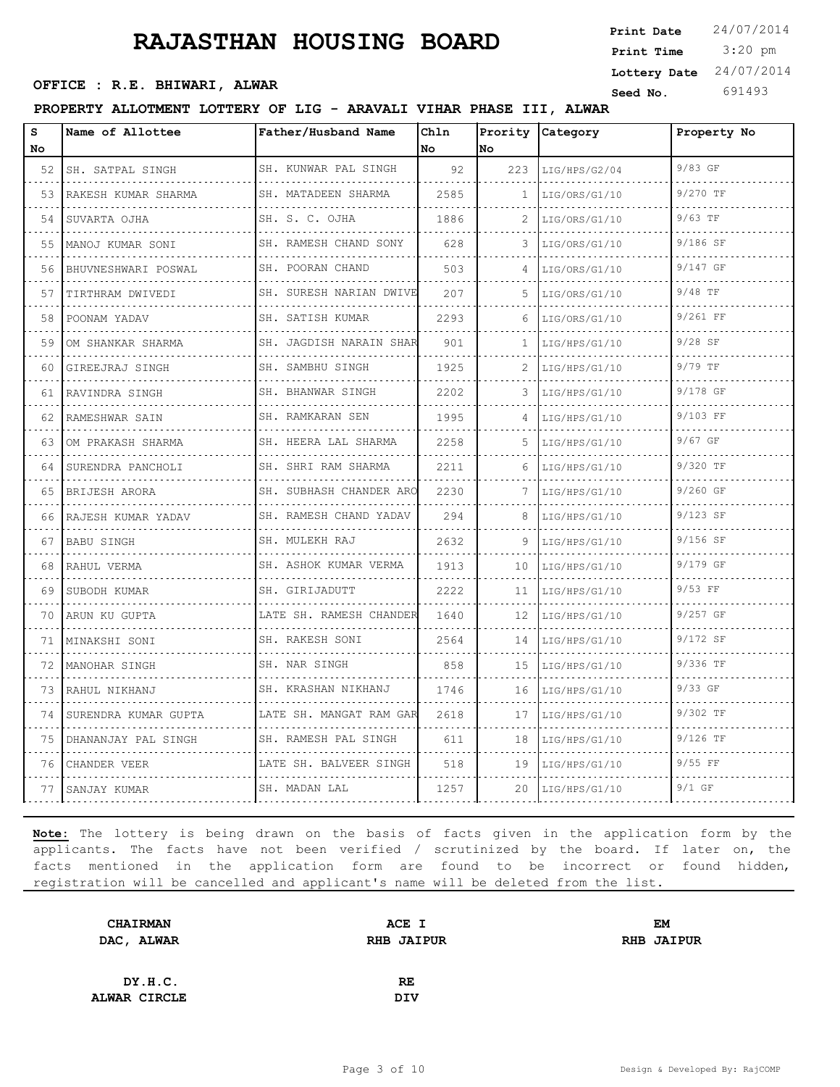3:20 pm **Print Date**  $24/07/2014$ **Print Time Seed No.** 691493 **OFFICE : R.E. BHIWARI, ALWAR Lottery Date** 24/07/2014

## **PROPERTY ALLOTMENT LOTTERY OF LIG - ARAVALI VIHAR PHASE III, ALWAR**

| S<br>No. | Name of Allottee     | Father/Husband Name          | Chln<br>No | Prority<br>lno. | Category           | Property No |
|----------|----------------------|------------------------------|------------|-----------------|--------------------|-------------|
| 52       | SH. SATPAL SINGH     | SH. KUNWAR PAL SINGH         | 92         | 223             | LIG/HPS/G2/04      | 9/83 GF     |
| 53       | RAKESH KUMAR SHARMA  | .<br>SH. MATADEEN SHARMA     | 2585       | $\mathbf{1}$    | LIG/ORS/G1/10      | 9/270 TF    |
| 54       | SUVARTA OJHA         | .<br>SH. S. C. OJHA          | 1886       |                 | LIG/ORS/G1/10      | $9/63$ TF   |
| 55       | MANOJ KUMAR SONI     | SH. RAMESH CHAND SONY        | 628        | 3               | LIG/ORS/G1/10      | 9/186 SF    |
| 56       | BHUVNESHWARI POSWAL  | SH. POORAN CHAND<br>.        | 503        | 4               | LIG/ORS/G1/10      | 9/147 GF    |
| 57       | TIRTHRAM DWIVEDI     | SH. SURESH NARIAN DWIVE      | 207        | 5               | LIG/ORS/G1/10      | $9/48$ TF   |
| 58       | POONAM YADAV<br>.    | SH. SATISH KUMAR<br>.        | 2293       | 6               | LIG/ORS/G1/10      | 9/261 FF    |
| 59       | OM SHANKAR SHARMA    | SH. JAGDISH NARAIN SHAR<br>. | 901        | $\mathbf{1}$    | LIG/HPS/G1/10      | $9/28$ SF   |
| 60       | GIREEJRAJ SINGH      | SH. SAMBHU SINGH             | 1925       |                 | LIG/HPS/G1/10      | 9/79 TF     |
| 61       | RAVINDRA SINGH<br>.  | SH. BHANWAR SINGH<br>.       | 2202       | 3               | LIG/HPS/G1/10      | 9/178 GF    |
| 62       | RAMESHWAR SAIN       | SH. RAMKARAN SEN<br>.        | 1995       | 4               | LIG/HPS/G1/10      | 9/103 FF    |
| 63       | OM PRAKASH SHARMA    | SH. HEERA LAL SHARMA         | 2258       | 5               | LIG/HPS/G1/10      | 9/67 GF     |
| 64       | SURENDRA PANCHOLI    | SH. SHRI RAM SHARMA<br>.     | 2211       | 6               | LIG/HPS/G1/10<br>. | 9/320 TF    |
| 65       | BRIJESH ARORA        | SH. SUBHASH CHANDER ARO<br>. | 2230       | 7               | LIG/HPS/G1/10      | 9/260 GF    |
| 66       | RAJESH KUMAR YADAV   | SH. RAMESH CHAND YADAV       | 294        | 8               | LIG/HPS/G1/10      | 9/123 SF    |
| 67       | BABU SINGH           | SH. MULEKH RAJ               | 2632       |                 | LIG/HPS/G1/10      | 9/156 SF    |
| 68       | RAHUL VERMA          | SH. ASHOK KUMAR VERMA<br>.   | 1913       | 10              | LIG/HPS/G1/10      | 9/179 GF    |
| 69       | SUBODH KUMAR         | SH. GIRIJADUTT               | 2222       | 11              | LIG/HPS/G1/10      | 9/53 FF     |
| 70       | ARUN KU GUPTA        | LATE SH. RAMESH CHANDER      | 1640       | 12              | LIG/HPS/G1/10      | 9/257 GF    |
| 71       | MINAKSHI SONI        | SH. RAKESH SONI<br>.         | 2564       | 14              | LIG/HPS/G1/10      | 9/172 SF    |
| 72       | MANOHAR SINGH        | SH. NAR SINGH                | 858        | 15              | LIG/HPS/G1/10      | 9/336 TF    |
| 73       | RAHUL NIKHANJ<br>.   | SH. KRASHAN NIKHANJ<br>.     | 1746       | 16              | LIG/HPS/G1/10      | 9/33 GF     |
| 74       | SURENDRA KUMAR GUPTA | LATE SH. MANGAT RAM GAR<br>. | 2618       | 17              | LIG/HPS/G1/10      | 9/302 TF    |
| 75       | DHANANJAY PAL SINGH  | SH. RAMESH PAL SINGH         | 611        | 18              | LIG/HPS/G1/10      | $9/126$ TF  |
| 76       | CHANDER VEER         | LATE SH. BALVEER SINGH       | 518        | 19              | LIG/HPS/G1/10      | 9/55 FF     |
| 77       | SANJAY KUMAR         | SH. MADAN LAL                | 1257       | 20              | LIG/HPS/G1/10      | $9/1$ GF    |

| <b>CHAIRMAN</b>     | ACE I             | EM                |
|---------------------|-------------------|-------------------|
| DAC, ALWAR          | <b>RHB JAIPUR</b> | <b>RHB JAIPUR</b> |
|                     |                   |                   |
| DY.H.C.             | <b>RE</b>         |                   |
| <b>ALWAR CIRCLE</b> | DIV               |                   |
|                     |                   |                   |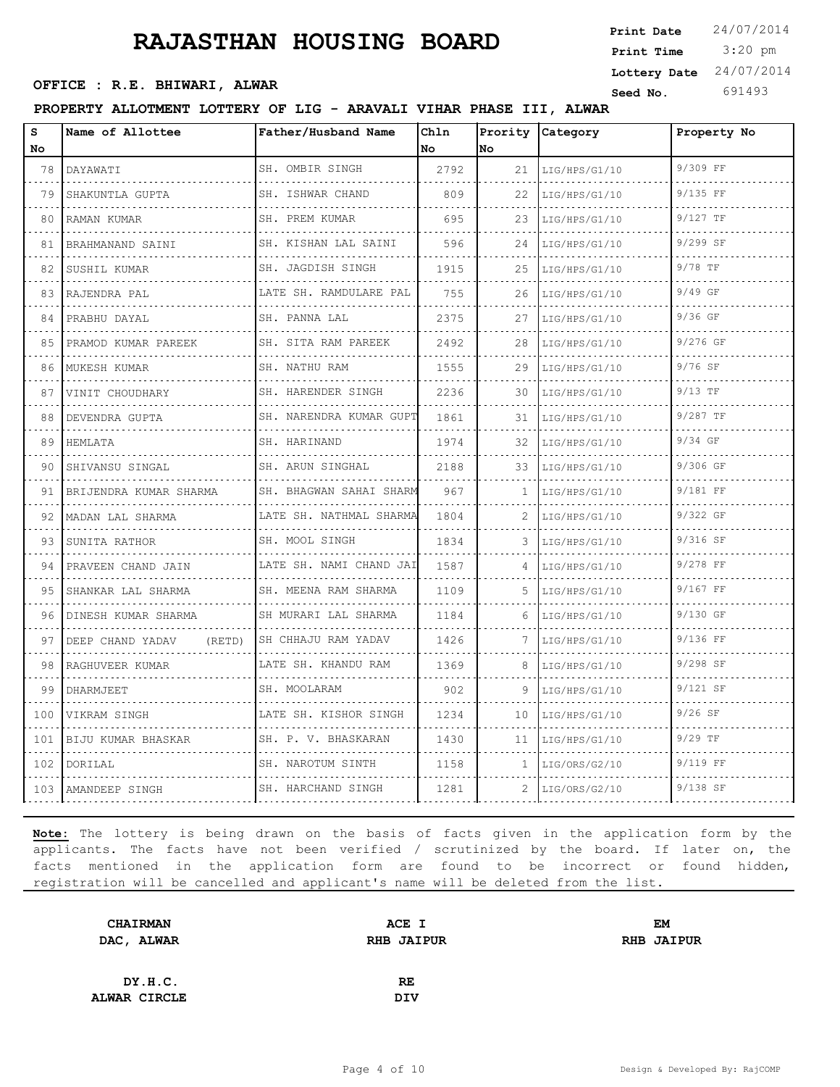**Seed No.** 691493 **OFFICE : R.E. BHIWARI, ALWAR**

## **PROPERTY ALLOTMENT LOTTERY OF LIG - ARAVALI VIHAR PHASE III, ALWAR**

| S   | Name of Allottee           | Father/Husband Name       | Chln |     | Prority Category | Property No |
|-----|----------------------------|---------------------------|------|-----|------------------|-------------|
| No. |                            |                           | No   | No  |                  |             |
| 78  | DAYAWATI                   | SH. OMBIR SINGH           | 2792 | 21  | LIG/HPS/G1/10    | 9/309 FF    |
| 79  | SHAKUNTLA GUPTA            | SH. ISHWAR CHAND          | 809  | 22  | LIG/HPS/G1/10    | $9/135$ FF  |
| 80  | RAMAN KUMAR                | SH. PREM KUMAR<br>.       | 695  | 23  | LIG/HPS/G1/10    | $9/127$ TF  |
| 81  | BRAHMANAND SAINI           | SH. KISHAN LAL SAINI<br>. | 596  | 24  | LIG/HPS/G1/10    | 9/299 SF    |
| 82  | SUSHIL KUMAR<br>.          | SH. JAGDISH SINGH<br>.    | 1915 | 25  | LIG/HPS/G1/10    | 9/78 TF     |
| 83  | RAJENDRA PAL               | LATE SH. RAMDULARE PAL    | 755  | 26  | LIG/HPS/G1/10    | 9/49 GF     |
| 84  | PRABHU DAYAL               | SH. PANNA LAL             | 2375 | 27  | LIG/HPS/G1/10    | $9/36$ GF   |
| 85  | PRAMOD KUMAR PAREEK        | SH. SITA RAM PAREEK       | 2492 | 28  | LIG/HPS/G1/10    | 9/276 GF    |
| 86  | MUKESH KUMAR               | SH. NATHU RAM             | 1555 | 29  | LIG/HPS/G1/10    | 9/76 SF     |
| 87  | VINIT CHOUDHARY            | SH. HARENDER SINGH        | 2236 | 30  | LIG/HPS/G1/10    | $9/13$ TF   |
| 88  | DEVENDRA GUPTA             | SH. NARENDRA KUMAR GUPT   | 1861 | 31  | LIG/HPS/G1/10    | $9/287$ TF  |
| 89  | HEMLATA                    | SH. HARINAND              | 1974 | 32  | LIG/HPS/G1/10    | 9/34 GF     |
| 90  | SHIVANSU SINGAL            | SH. ARUN SINGHAL<br>.     | 2188 | 33  | LIG/HPS/G1/10    | 9/306 GF    |
| 91  | BRIJENDRA KUMAR SHARMA     | SH. BHAGWAN SAHAI SHARM   | 967  | 1   | LIG/HPS/G1/10    | 9/181 FF    |
| 92  | MADAN LAL SHARMA           | LATE SH. NATHMAL SHARMA   | 1804 | 2   | LIG/HPS/G1/10    | 9/322 GF    |
| 93  | SUNITA RATHOR              | SH. MOOL SINGH            | 1834 | 3   | LIG/HPS/G1/10    | 9/316 SF    |
| 94  | PRAVEEN CHAND JAIN         | LATE SH. NAMI CHAND JAI   | 1587 | 4   | LIG/HPS/G1/10    | 9/278 FF    |
| 95  | SHANKAR LAL SHARMA         | SH. MEENA RAM SHARMA      | 1109 | .5. | LIG/HPS/G1/10    | 9/167 FF    |
| 96  | DINESH KUMAR SHARMA        | SH MURARI LAL SHARMA<br>. | 1184 | 6   | LIG/HPS/G1/10    | 9/130 GF    |
| 97  | DEEP CHAND YADAV<br>(RETD) | SH CHHAJU RAM YADAV       | 1426 |     | LIG/HPS/G1/10    | 9/136 FF    |
| 98  | RAGHUVEER KUMAR            | LATE SH. KHANDU RAM       | 1369 | 8   | LIG/HPS/G1/10    | 9/298 SF    |
| 99  | DHARMJEET                  | SH. MOOLARAM              | 902  | 9   | LIG/HPS/G1/10    | 9/121 SF    |
| 100 | VIKRAM SINGH               | LATE SH. KISHOR SINGH     | 1234 | 10  | LIG/HPS/G1/10    | $9/26$ SF   |
| 101 | BIJU KUMAR BHASKAR         | SH. P. V. BHASKARAN       | 1430 | 11  | LIG/HPS/G1/10    | $9/29$ TF   |
| 102 | DORILAL                    | SH. NAROTUM SINTH         | 1158 | 1   | LIG/ORS/G2/10    | 9/119 FF    |
|     | 103 AMANDEEP SINGH         | SH. HARCHAND SINGH        | 1281 | 2   | LIG/ORS/G2/10    | 9/138 SF    |
|     |                            |                           |      |     |                  |             |

**Note:** The lottery is being drawn on the basis of facts given in the application form by the applicants. The facts have not been verified / scrutinized by the board. If later on, the facts mentioned in the application form are found to be incorrect or found hidden, registration will be cancelled and applicant's name will be deleted from the list.

| <b>CHAIRMAN</b> | ACE I             | EM                |
|-----------------|-------------------|-------------------|
| DAC, ALWAR      | <b>RHB JAIPUR</b> | <b>RHB JAIPUR</b> |
|                 |                   |                   |
| DY.H.C.         | RE                |                   |
| ALWAR CIRCLE    | <b>DIV</b>        |                   |
|                 |                   |                   |

 3:20 pm **Print Date**  $24/07/2014$ **Print Time Lottery Date** 24/07/2014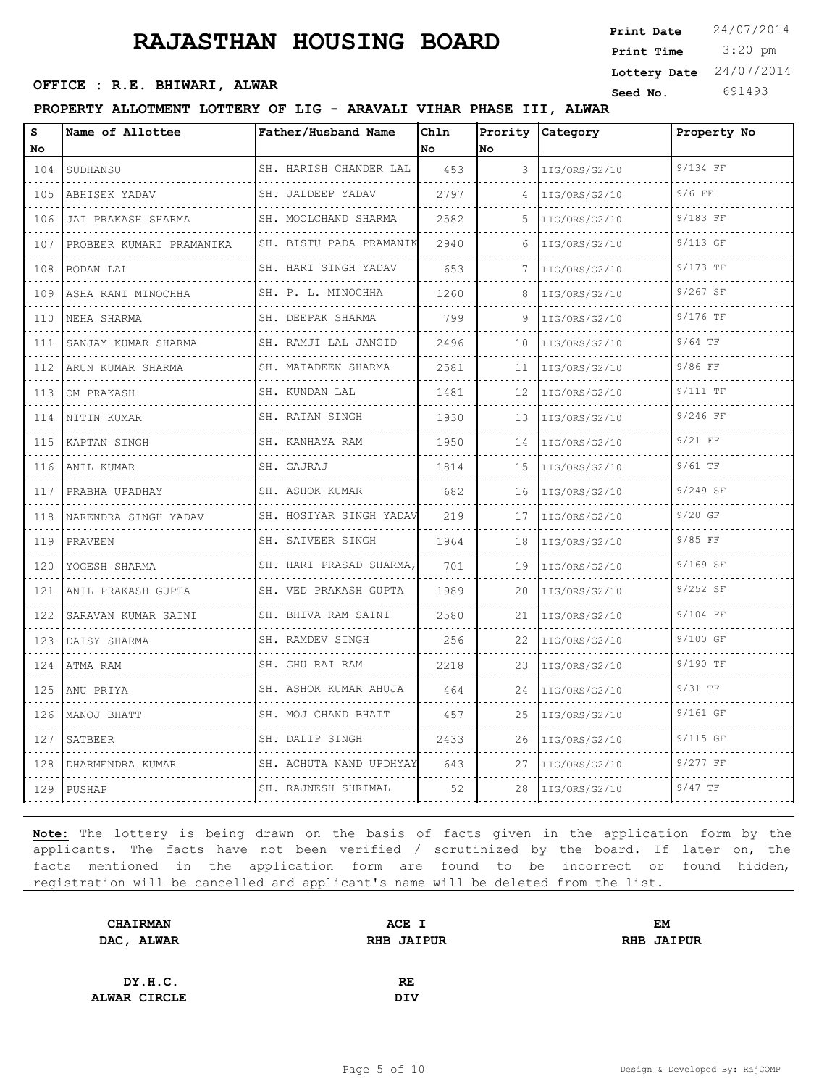**Seed No.** 691493 **OFFICE : R.E. BHIWARI, ALWAR**

**PROPERTY ALLOTMENT LOTTERY OF LIG - ARAVALI VIHAR PHASE III, ALWAR**

| S<br>No                                                                                                                                                              | Name of Allottee         | Father/Husband Name        | Chln<br>No | No | Prority Category | Property No |
|----------------------------------------------------------------------------------------------------------------------------------------------------------------------|--------------------------|----------------------------|------------|----|------------------|-------------|
| 104                                                                                                                                                                  | SUDHANSU                 | SH. HARISH CHANDER LAL     | 453        | 3  | LIG/ORS/G2/10    | 9/134 FF    |
| 105                                                                                                                                                                  | ABHISEK YADAV            | .<br>SH. JALDEEP YADAV     | 2797       | 4  | LIG/ORS/G2/10    | $9/6$ FF    |
|                                                                                                                                                                      |                          |                            |            |    |                  | 9/183 FF    |
| 106<br>$\frac{1}{2} \left( \frac{1}{2} \right) \left( \frac{1}{2} \right) \left( \frac{1}{2} \right) \left( \frac{1}{2} \right)$                                     | JAI PRAKASH SHARMA       | SH. MOOLCHAND SHARMA       | 2582       | .5 | LIG/ORS/G2/10    |             |
| 107                                                                                                                                                                  | PROBEER KUMARI PRAMANIKA | SH. BISTU PADA PRAMANIK    | 2940       |    | LIG/ORS/G2/10    | $9/113$ GF  |
| 108                                                                                                                                                                  | BODAN LAL                | SH. HARI SINGH YADAV       | 653        | 7  | LIG/ORS/G2/10    | 9/173 TF    |
| 109<br>$\mathcal{L}^{\mathcal{A}}\left( \mathcal{L}^{\mathcal{A}}\right) \mathcal{L}^{\mathcal{A}}\left( \mathcal{L}^{\mathcal{A}}\right) \mathcal{L}^{\mathcal{A}}$ | ASHA RANI MINOCHHA       | SH. P. L. MINOCHHA         | 1260       | 8  | LIG/ORS/G2/10    | 9/267 SF    |
| 110                                                                                                                                                                  | NEHA SHARMA              | SH. DEEPAK SHARMA<br>.     | 799        |    | LIG/ORS/G2/10    | 9/176 TF    |
| 111                                                                                                                                                                  | SANJAY KUMAR SHARMA      | SH. RAMJI LAL JANGID       | 2496       | 10 | LIG/ORS/G2/10    | $9/64$ TF   |
| 112<br>$\sim$ $\sim$ $\sim$ $\sim$                                                                                                                                   | ARUN KUMAR SHARMA        | SH. MATADEEN SHARMA        | 2581       | 11 | LIG/ORS/G2/10    | 9/86 FF     |
| 113                                                                                                                                                                  | OM PRAKASH               | SH. KUNDAN LAL             | 1481       | 12 | LIG/ORS/G2/10    | 9/111 TF    |
| 114                                                                                                                                                                  | NITIN KUMAR              | SH. RATAN SINGH            | 1930       | 13 | LIG/ORS/G2/10    | $9/246$ FF  |
| 115<br>$\frac{1}{2} \left( \frac{1}{2} \right) \left( \frac{1}{2} \right) \left( \frac{1}{2} \right) \left( \frac{1}{2} \right)$                                     | KAPTAN SINGH             | SH. KANHAYA RAM            | 1950       | 14 | LIG/ORS/G2/10    | $9/21$ FF   |
| 116                                                                                                                                                                  | ANIL KUMAR               | SH. GAJRAJ                 | 1814       | 15 | LIG/ORS/G2/10    | $9/61$ TF   |
| 117                                                                                                                                                                  | PRABHA UPADHAY           | SH. ASHOK KUMAR            | 682        | 16 | LIG/ORS/G2/10    | $9/249$ SF  |
| 118<br>$\omega$ , $\omega$ , $\omega$                                                                                                                                | NARENDRA SINGH YADAV     | SH. HOSIYAR SINGH YADAV    | 219        | 17 | LIG/ORS/G2/10    | $9/20$ GF   |
| 119                                                                                                                                                                  | PRAVEEN                  | SH. SATVEER SINGH<br>.     | 1964       | 18 | LIG/ORS/G2/10    | 9/85 FF     |
| 120                                                                                                                                                                  | YOGESH SHARMA            | SH. HARI PRASAD SHARMA,    | 701        | 19 | LIG/ORS/G2/10    | 9/169 SF    |
| 121<br>$\frac{1}{2} \left( \frac{1}{2} \right) \left( \frac{1}{2} \right) \left( \frac{1}{2} \right) \left( \frac{1}{2} \right)$                                     | ANIL PRAKASH GUPTA       | SH. VED PRAKASH GUPTA      | 1989       | 20 | LIG/ORS/G2/10    | $9/252$ SF  |
| 122                                                                                                                                                                  | SARAVAN KUMAR SAINI      | SH. BHIVA RAM SAINI<br>.   | 2580       | 21 | LIG/ORS/G2/10    | 9/104 FF    |
| 123                                                                                                                                                                  | DAISY SHARMA             | SH. RAMDEV SINGH           | 256        | 22 | LIG/ORS/G2/10    | 9/100 GF    |
| 124<br>.                                                                                                                                                             | ATMA RAM                 | SH. GHU RAI RAM            | 2218       | 23 | LIG/ORS/G2/10    | 9/190 TF    |
| 125                                                                                                                                                                  | ANU PRIYA                | SH. ASHOK KUMAR AHUJA<br>. | 464        | 24 | LIG/ORS/G2/10    | 9/31 TF     |
| 126                                                                                                                                                                  | MANOJ BHATT              | SH. MOJ CHAND BHATT        | 457        | 25 | LIG/ORS/G2/10    | 9/161 GF    |
| 127<br>$\frac{1}{2} \left( \frac{1}{2} \right) \left( \frac{1}{2} \right) \left( \frac{1}{2} \right) \left( \frac{1}{2} \right)$                                     | SATBEER                  | SH. DALIP SINGH            | 2433       | 26 | LIG/ORS/G2/10    | $9/115$ GF  |
| 128                                                                                                                                                                  | DHARMENDRA KUMAR         | SH. ACHUTA NAND UPDHYAY    | 643        | 27 | LIG/ORS/G2/10    | $9/277$ FF  |
| 129                                                                                                                                                                  | PUSHAP                   | SH. RAJNESH SHRIMAL        | 52         | 28 | LIG/ORS/G2/10    | 9/47 TF     |

**Note:** The lottery is being drawn on the basis of facts given in the application form by the applicants. The facts have not been verified / scrutinized by the board. If later on, the facts mentioned in the application form are found to be incorrect or found hidden, registration will be cancelled and applicant's name will be deleted from the list.

| ACE I             | EM                |
|-------------------|-------------------|
| <b>RHB JAIPUR</b> | <b>RHB JAIPUR</b> |
|                   |                   |
| <b>RE</b>         |                   |
| <b>DIV</b>        |                   |
|                   |                   |

 3:20 pm **Print Date**  $24/07/2014$ **Print Time Lottery Date** 24/07/2014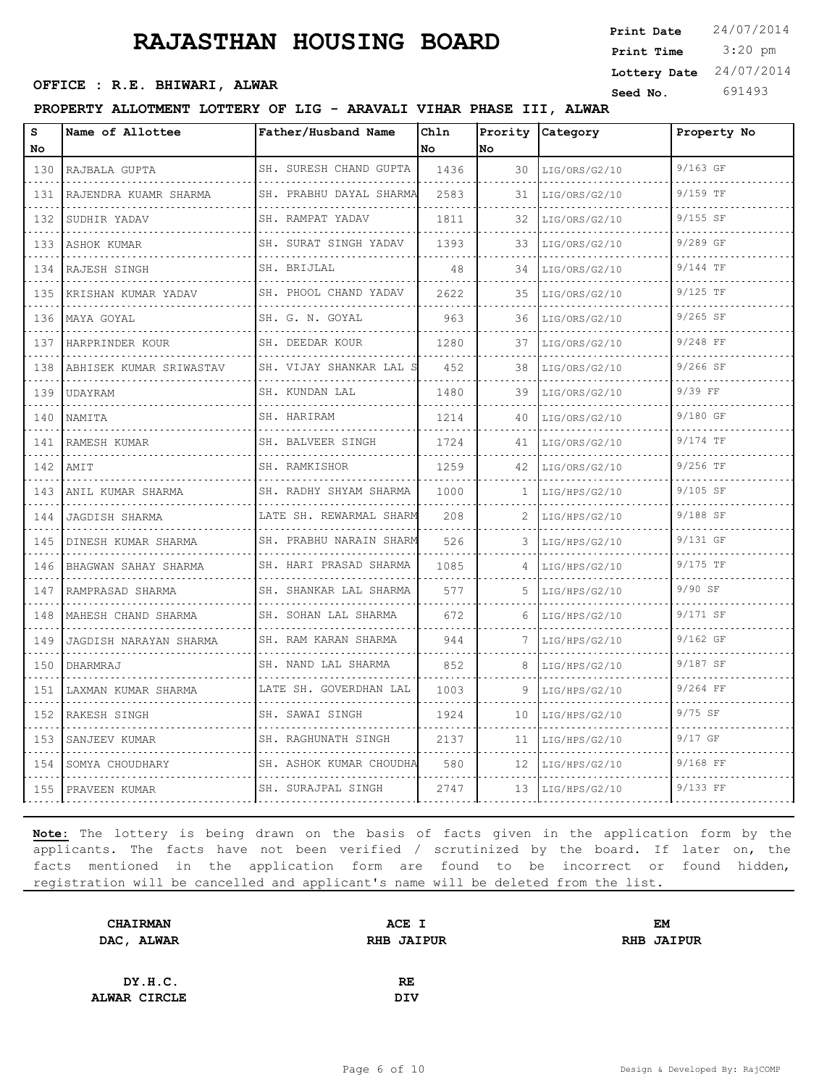3:20 pm **Print Date**  $24/07/2014$ **Print Time Seed No.** 691493 **OFFICE : R.E. BHIWARI, ALWAR Lottery Date** 24/07/2014

## **PROPERTY ALLOTMENT LOTTERY OF LIG - ARAVALI VIHAR PHASE III, ALWAR**

| S<br>No.                           | Name of Allottee           | Father/Husband Name          | Chln<br>No. | No. | Prority Category | Property No |
|------------------------------------|----------------------------|------------------------------|-------------|-----|------------------|-------------|
| 130                                | RAJBALA GUPTA              | SH. SURESH CHAND GUPTA       | 1436        | 30  | LIG/ORS/G2/10    | 9/163 GF    |
| .<br>131                           | .<br>RAJENDRA KUAMR SHARMA | SH. PRABHU DAYAL SHARMA      | 2583        | 31  | LIG/ORS/G2/10    | 9/159 TF    |
| 132                                | SUDHIR YADAV               | SH. RAMPAT YADAV             | 1811        | 32  | LIG/ORS/G2/10    | $9/155$ SF  |
| .<br>133                           | ASHOK KUMAR                | SH. SURAT SINGH YADAV        | 1393        | 33  | LIG/ORS/G2/10    | 9/289 GF    |
| .<br>134                           | RAJESH SINGH               | SH. BRIJLAL                  | 48          | 34  | LIG/ORS/G2/10    | 9/144 TF    |
| 135                                | KRISHAN KUMAR YADAV        | SH. PHOOL CHAND YADAV        | 2622        | 35  | LIG/ORS/G2/10    | $9/125$ TF  |
| 136                                | MAYA GOYAL                 | SH. G. N. GOYAL<br>.         | 963         | 36  | LIG/ORS/G2/10    | $9/265$ SF  |
| الداعات الداما<br>137              | HARPRINDER KOUR            | SH. DEEDAR KOUR              | 1280        | 37  | LIG/ORS/G2/10    | $9/248$ FF  |
| 138<br>.                           | ABHISEK KUMAR SRIWASTAV    | SH. VIJAY SHANKAR LAL S      | 452         | 38  | LIG/ORS/G2/10    | 9/266 SF    |
| 139<br>.                           | UDAYRAM                    | SH. KUNDAN LAL<br>.          | 1480        | 39  | LIG/ORS/G2/10    | 9/39 FF     |
| 140                                | NAMITA                     | SH. HARIRAM                  | 1214        | 40  | LIG/ORS/G2/10    | 9/180 GF    |
| 141<br>.                           | RAMESH KUMAR               | SH. BALVEER SINGH            | 1724        | 41  | LIG/ORS/G2/10    | 9/174 TF    |
| 142<br>.                           | AMIT                       | SH. RAMKISHOR<br>.           | 1259        | 42  | LIG/ORS/G2/10    | 9/256 TF    |
| 143                                | ANIL KUMAR SHARMA          | SH. RADHY SHYAM SHARMA       | 1000        | 1.  | LIG/HPS/G2/10    | 9/105 SF    |
| 144                                | JAGDISH SHARMA             | LATE SH. REWARMAL SHARM      | 208         | 2   | LIG/HPS/G2/10    | 9/188 SF    |
| 145<br>.                           | DINESH KUMAR SHARMA        | SH. PRABHU NARAIN SHARM<br>. | 526         | 3   | LIG/HPS/G2/10    | 9/131 GF    |
| 146                                | BHAGWAN SAHAY SHARMA       | SH. HARI PRASAD SHARMA       | 1085        |     | LIG/HPS/G2/10    | $9/175$ TF  |
| 147                                | RAMPRASAD SHARMA<br>.      | SH. SHANKAR LAL SHARMA       | 577         | 5   | LIG/HPS/G2/10    | 9/90 SF     |
| 148<br>.                           | MAHESH CHAND SHARMA        | SH. SOHAN LAL SHARMA<br>.    | 672         | 6   | LIG/HPS/G2/10    | 9/171 SF    |
| 149                                | JAGDISH NARAYAN SHARMA     | SH. RAM KARAN SHARMA         | 944         |     | LIG/HPS/G2/10    | $9/162$ GF  |
| 150                                | DHARMRAJ                   | SH. NAND LAL SHARMA<br>.     | 852         | 8   | LIG/HPS/G2/10    | 9/187 SF    |
| 151                                | LAXMAN KUMAR SHARMA        | LATE SH. GOVERDHAN LAL       | 1003        | 9   | LIG/HPS/G2/10    | $9/264$ FF  |
| الداعات الداري<br>152              | RAKESH SINGH               | SH. SAWAI SINGH              | 1924        | 10  | LIG/HPS/G2/10    | $9/75$ SF   |
| 153                                | SANJEEV KUMAR              | SH. RAGHUNATH SINGH          | 2137        | 11  | LIG/HPS/G2/10    | $9/17$ GF   |
| 154<br>$\sim$ $\sim$ $\sim$ $\sim$ | SOMYA CHOUDHARY            | SH. ASHOK KUMAR CHOUDHA      | 580         | 12  | LIG/HPS/G2/10    | 9/168 FF    |
| 155                                | PRAVEEN KUMAR              | SH. SURAJPAL SINGH           | 2747        | 13  | LIG/HPS/G2/10    | 9/133 FF    |

| <b>CHAIRMAN</b> | ACE I             | <b>EM</b>         |
|-----------------|-------------------|-------------------|
| DAC, ALWAR      | <b>RHB JAIPUR</b> | <b>RHB JAIPUR</b> |
|                 |                   |                   |
| DY.H.C.         | RE.               |                   |
| ALWAR CIRCLE    | <b>DIV</b>        |                   |
|                 |                   |                   |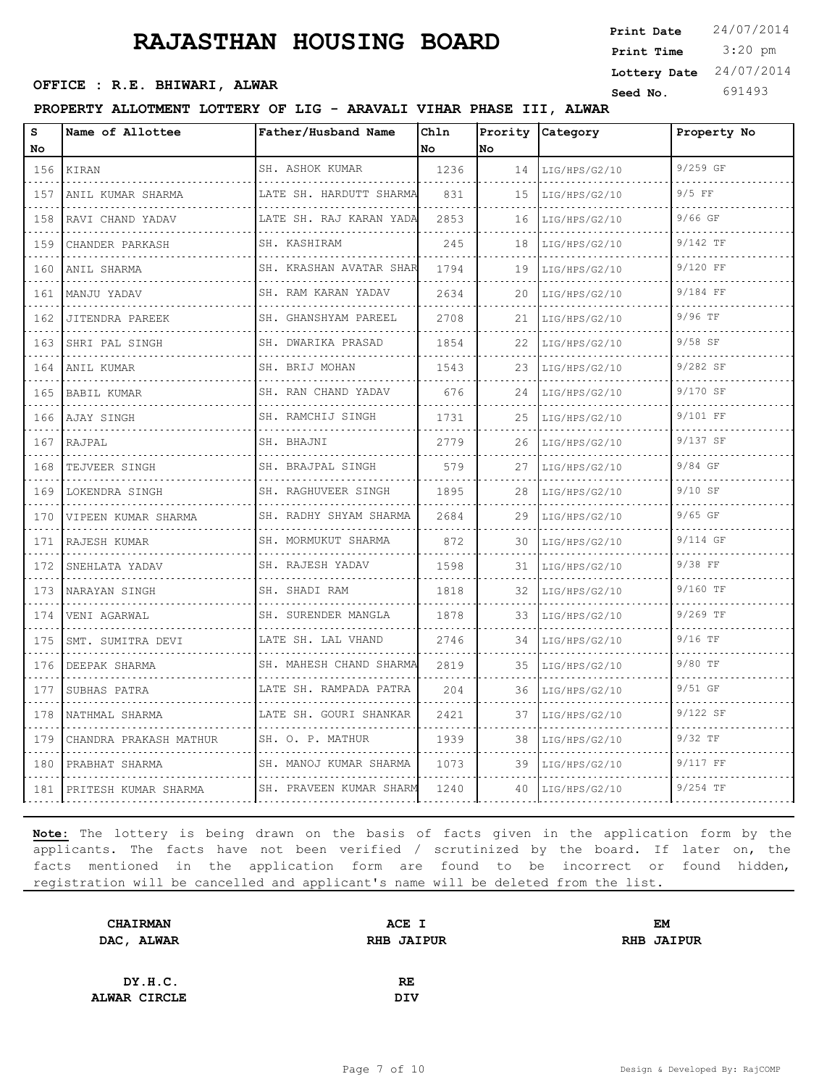3:20 pm **Print Date**  $24/07/2014$ **Print Time Seed No.** 691493 **OFFICE : R.E. BHIWARI, ALWAR Lottery Date** 24/07/2014

## **PROPERTY ALLOTMENT LOTTERY OF LIG - ARAVALI VIHAR PHASE III, ALWAR**

| S<br>No                                                   | Name of Allottee       | Father/Husband Name          | Chln<br>No | Prority<br>lno                    | Category           | Property No |
|-----------------------------------------------------------|------------------------|------------------------------|------------|-----------------------------------|--------------------|-------------|
| 156                                                       | KIRAN                  | SH. ASHOK KUMAR              | 1236       | 14                                | LIG/HPS/G2/10      | 9/259 GF    |
| $\sim$ $\sim$ $\sim$ $\sim$<br>157                        | ANIL KUMAR SHARMA      | .<br>LATE SH. HARDUTT SHARMA | 831        | $\sim$ $\sim$ $\sim$ $\sim$<br>15 | .<br>LIG/HPS/G2/10 | $9/5$ FF    |
| 158                                                       | RAVI CHAND YADAV       | LATE SH. RAJ KARAN YADA<br>. | 2853       | 16                                | LIG/HPS/G2/10      | $9/66$ GF   |
| 159                                                       | CHANDER PARKASH        | SH. KASHIRAM                 | 245        | 18                                | LIG/HPS/G2/10      | 9/142 TF    |
| $- - - -$<br>160                                          | ANIL SHARMA            | SH. KRASHAN AVATAR SHAR      | 1794       | 19                                | LIG/HPS/G2/10      | 9/120 FF    |
| 161                                                       | MANJU YADAV            | .<br>SH. RAM KARAN YADAV     | 2634       | 20                                | LIG/HPS/G2/10      | 9/184 FF    |
| 162                                                       | JITENDRA PAREEK        | SH. GHANSHYAM PAREEL         | 2708       | 21                                | LIG/HPS/G2/10      | 9/96 TF     |
| $\omega_{\rm c} = \omega_{\rm c} = \omega_{\rm c}$<br>163 | SHRI PAL SINGH<br>.    | SH. DWARIKA PRASAD<br>.      | 1854       | 22                                | LIG/HPS/G2/10      | $9/58$ SF   |
| 164                                                       | ANIL KUMAR             | SH. BRIJ MOHAN               | 1543       | 23.                               | LIG/HPS/G2/10      | 9/282 SF    |
| 165                                                       | BABIL KUMAR            | SH. RAN CHAND YADAV<br>.     | 676        | 24                                | LIG/HPS/G2/10      | 9/170 SF    |
| 166                                                       | AJAY SINGH             | SH. RAMCHIJ SINGH<br>.       | 1731       | 25                                | LIG/HPS/G2/10      | 9/101 FF    |
| 167                                                       | RAJPAL                 | SH. BHAJNI                   | 2779       | 26                                | LIG/HPS/G2/10      | 9/137 SF    |
| 168                                                       | TEJVEER SINGH<br>.     | SH. BRAJPAL SINGH<br>.       | 579        | 27                                | LIG/HPS/G2/10<br>. | 9/84 GF     |
| $- - - -$<br>169                                          | LOKENDRA SINGH         | SH. RAGHUVEER SINGH<br>.     | 1895       | $\sim$ $\sim$ $\sim$ $\sim$<br>28 | LIG/HPS/G2/10      | $9/10$ SF   |
| 170                                                       | VIPEEN KUMAR SHARMA    | SH. RADHY SHYAM SHARMA       | 2684       | 29                                | LIG/HPS/G2/10      | $9/65$ GF   |
| 171                                                       | RAJESH KUMAR           | SH. MORMUKUT SHARMA          | 872        | 30                                | LIG/HPS/G2/10      | 9/114 GF    |
| 172                                                       | SNEHLATA YADAV<br>.    | SH. RAJESH YADAV<br>.        | 1598       | 31                                | LIG/HPS/G2/10      | $9/38$ FF   |
| 173                                                       | NARAYAN SINGH          | SH. SHADI RAM                | 1818       | 32                                | LIG/HPS/G2/10      | 9/160 TF    |
| 174                                                       | VENI AGARWAL<br>.      | SH. SURENDER MANGLA          | 1878       | 33                                | LIG/HPS/G2/10      | 9/269 TF    |
| $- - - -$<br>175                                          | SMT. SUMITRA DEVI<br>. | LATE SH. LAL VHAND<br>.      | 2746       | 34                                | LIG/HPS/G2/10      | $9/16$ TF   |
| 176                                                       | DEEPAK SHARMA          | SH. MAHESH CHAND SHARMA      | 2819       | 35                                | LIG/HPS/G2/10      | 9/80 TF     |
| 177<br>2.2.2.2                                            | SUBHAS PATRA           | LATE SH. RAMPADA PATRA       | 204        | 36                                | LIG/HPS/G2/10      | 9/51 GF     |
| 178                                                       | NATHMAL SHARMA         | LATE SH. GOURI SHANKAR       | 2421       | 37                                | LIG/HPS/G2/10      | 9/122 SF    |
| 179                                                       | CHANDRA PRAKASH MATHUR | SH. O. P. MATHUR             | 1939       | 38                                | LIG/HPS/G2/10      | 9/32 TF     |
| 180                                                       | PRABHAT SHARMA         | SH. MANOJ KUMAR SHARMA       | 1073       | 39                                | LIG/HPS/G2/10      | 9/117 FF    |
| 181                                                       | PRITESH KUMAR SHARMA   | SH. PRAVEEN KUMAR SHARM      | 1240       | 40                                | LIG/HPS/G2/10      | $9/254$ TF  |

| <b>CHAIRMAN</b> | ACE I             | EM                |
|-----------------|-------------------|-------------------|
| DAC, ALWAR      | <b>RHB JAIPUR</b> | <b>RHB JAIPUR</b> |
|                 |                   |                   |
| DY.H.C.         | RE                |                   |
| ALWAR CIRCLE    | <b>DIV</b>        |                   |
|                 |                   |                   |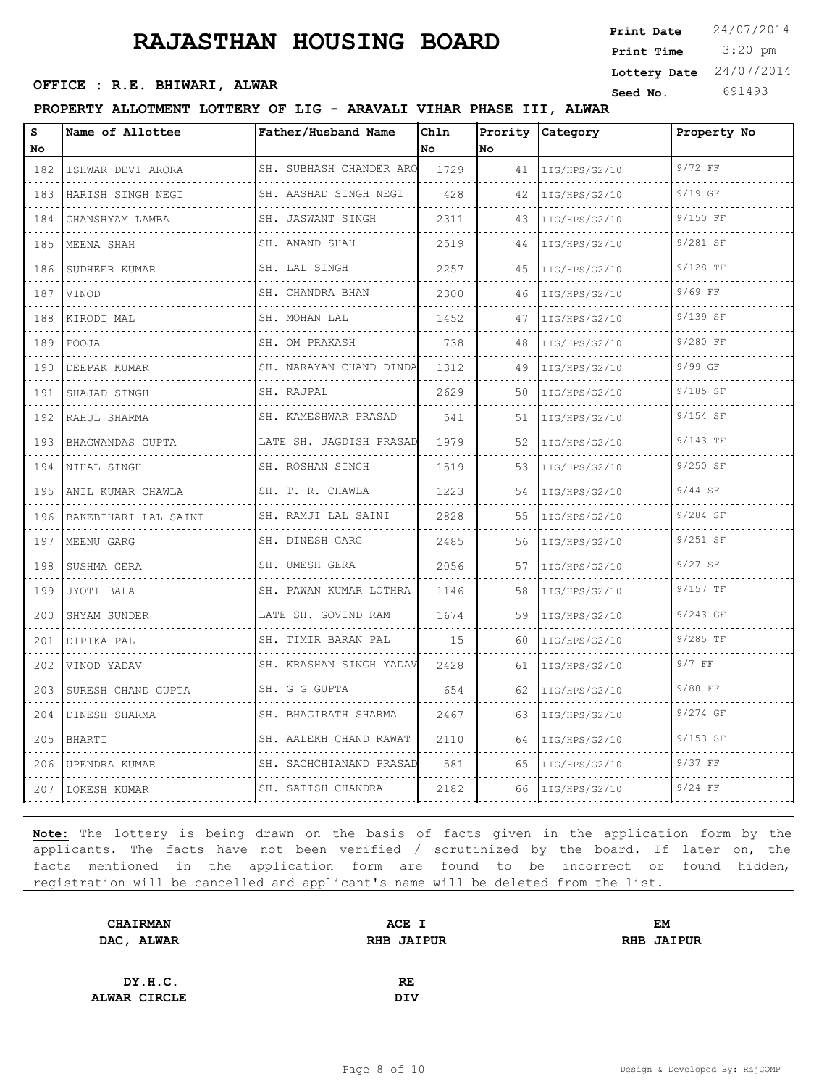3:20 pm **Print Date**  $24/07/2014$ **Print Time Seed No.** 691493 **OFFICE : R.E. BHIWARI, ALWAR Lottery Date** 24/07/2014

## **PROPERTY ALLOTMENT LOTTERY OF LIG - ARAVALI VIHAR PHASE III, ALWAR**

| s<br>No                                                                                                                          | Name of Allottee     | Father/Husband Name            | Chln<br>No | Prority<br>No | Category      | Property No |
|----------------------------------------------------------------------------------------------------------------------------------|----------------------|--------------------------------|------------|---------------|---------------|-------------|
| 182                                                                                                                              | ISHWAR DEVI ARORA    | SH. SUBHASH CHANDER ARO        | 1729       | 41            | LIG/HPS/G2/10 | 9/72 FF     |
| .<br>183                                                                                                                         | HARISH SINGH NEGI    | SH. AASHAD SINGH NEGI          | 428        | 42            | LIG/HPS/G2/10 | $9/19$ GF   |
| $\mathcal{L}_{\mathcal{A}}(\mathcal{A})=\mathcal{L}_{\mathcal{A}}(\mathcal{A})$<br>184                                           | GHANSHYAM LAMBA      | SH. JASWANT SINGH              | 2311       | 43            | LIG/HPS/G2/10 | 9/150 FF    |
| 185                                                                                                                              | MEENA SHAH           | SH. ANAND SHAH<br>.            | 2519       | 44            | LIG/HPS/G2/10 | 9/281 SF    |
| .<br>186                                                                                                                         | .<br>SUDHEER KUMAR   | SH. LAL SINGH<br><u>.</u>      | 2257       | 45            | LIG/HPS/G2/10 | 9/128 TF    |
| .<br>187                                                                                                                         | <b>VINOD</b>         | SH. CHANDRA BHAN               | 2300       | 46            | LIG/HPS/G2/10 | $9/69$ FF   |
| 188                                                                                                                              | KIRODI MAL           | SH. MOHAN LAL<br>.             | 1452       | 47            | LIG/HPS/G2/10 | 9/139 SF    |
| الدائد الدائد<br>189                                                                                                             | POOJA                | SH. OM PRAKASH                 | 738        | 48            | LIG/HPS/G2/10 | 9/280 FF    |
| $\frac{1}{2} \left( \frac{1}{2} \right) \left( \frac{1}{2} \right) \left( \frac{1}{2} \right) \left( \frac{1}{2} \right)$<br>190 | DEEPAK KUMAR         | SH. NARAYAN CHAND DINDA        | 1312       | 49            | LIG/HPS/G2/10 | 9/99 GF     |
| 191                                                                                                                              | SHAJAD SINGH         | SH. RAJPAL                     | 2629       | 50            | LIG/HPS/G2/10 | $9/185$ SF  |
| .<br>192                                                                                                                         | RAHUL SHARMA         | .<br>SH. KAMESHWAR PRASAD<br>. | 541        | 51            | LIG/HPS/G2/10 | 9/154 SF    |
| 193                                                                                                                              | BHAGWANDAS GUPTA     | LATE SH. JAGDISH PRASAD        | 1979       | 52            | LIG/HPS/G2/10 | $9/143$ TF  |
| 194                                                                                                                              | NIHAL SINGH          | SH. ROSHAN SINGH<br>.          | 1519       | 53            | LIG/HPS/G2/10 | 9/250 SF    |
| $\omega_{\rm c} = \omega_{\rm c} = \omega_{\rm c}$<br>195                                                                        | ANIL KUMAR CHAWLA    | SH. T. R. CHAWLA               | 1223       | 54            | LIG/HPS/G2/10 | $9/44$ SF   |
| 196                                                                                                                              | BAKEBIHARI LAL SAINI | SH. RAMJI LAL SAINI            | 2828       | 55            | LIG/HPS/G2/10 | $9/284$ SF  |
| 197                                                                                                                              | MEENU GARG           | SH. DINESH GARG                | 2485       | 56            | LIG/HPS/G2/10 | 9/251 SF    |
| .<br>198                                                                                                                         | SUSHMA GERA          | SH. UMESH GERA                 | 2056       | 57            | LIG/HPS/G2/10 | $9/27$ SF   |
| 199                                                                                                                              | JYOTI BALA           | SH. PAWAN KUMAR LOTHRA         | 1146       | 58            | LIG/HPS/G2/10 | 9/157 TF    |
| 200                                                                                                                              | SHYAM SUNDER         | LATE SH. GOVIND RAM            | 1674       | 59            | LIG/HPS/G2/10 | $9/243$ GF  |
| $\sim$ $\sim$ $\sim$<br>201                                                                                                      | DIPIKA PAL           | .<br>SH. TIMIR BARAN PAL       | 15         | 60            | LIG/HPS/G2/10 | $9/285$ TF  |
| 202                                                                                                                              | VINOD YADAV          | SH. KRASHAN SINGH YADAV        | 2428       | 61            | LIG/HPS/G2/10 | $9/7$ FF    |
| 203                                                                                                                              | SURESH CHAND GUPTA   | SH. G G GUPTA                  | 654        | 62            | LIG/HPS/G2/10 | 9/88 FF     |
| 204                                                                                                                              | DINESH SHARMA        | SH. BHAGIRATH SHARMA           | 2467       | 63            | LIG/HPS/G2/10 | 9/274 GF    |
| 205                                                                                                                              | BHARTI               | SH. AALEKH CHAND RAWAT         | 2110       | 64            | LIG/HPS/G2/10 | $9/153$ SF  |
| 206                                                                                                                              | UPENDRA KUMAR        | SH. SACHCHIANAND PRASAD        | 581        | 65            | LIG/HPS/G2/10 | 9/37 FF     |
| 207                                                                                                                              | LOKESH KUMAR         | SH. SATISH CHANDRA             | 2182       | 66            | LIG/HPS/G2/10 | $9/24$ FF   |

| <b>CHAIRMAN</b> | ACE I             | EM                |
|-----------------|-------------------|-------------------|
| DAC, ALWAR      | <b>RHB JAIPUR</b> | <b>RHB JAIPUR</b> |
|                 |                   |                   |
| DY.H.C.         | <b>RE</b>         |                   |
| ALWAR CIRCLE    | DIV               |                   |
|                 |                   |                   |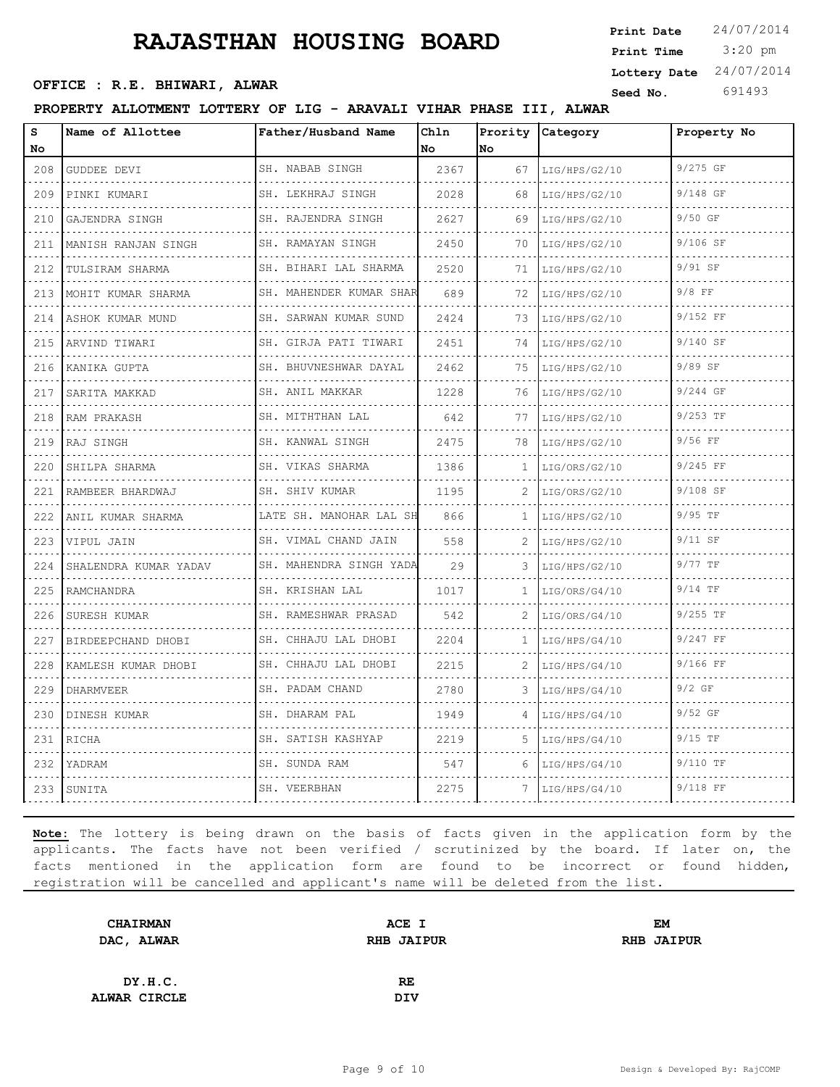3:20 pm **Print Date**  $24/07/2014$ **Print Time Seed No.** 691493 **OFFICE : R.E. BHIWARI, ALWAR Lottery Date** 24/07/2014

## **PROPERTY ALLOTMENT LOTTERY OF LIG - ARAVALI VIHAR PHASE III, ALWAR**

| s<br>No | Name of Allottee      | Father/Husband Name                             | Chln<br>l No | Prority<br>No | Category           | Property No |
|---------|-----------------------|-------------------------------------------------|--------------|---------------|--------------------|-------------|
| 208     | GUDDEE DEVI           | SH. NABAB SINGH                                 | 2367         | 67            | LIG/HPS/G2/10      | 9/275 GF    |
| 209     | PINKI KUMARI          | .<br>SH. LEKHRAJ SINGH                          | 2028         | 68            | .<br>LIG/HPS/G2/10 | 9/148 GF    |
| 210     | GAJENDRA SINGH        | .<br>SH. RAJENDRA SINGH                         | 2627         | 69            | LIG/HPS/G2/10      | 9/50 GF     |
| 211     | MANISH RANJAN SINGH   | SH. RAMAYAN SINGH                               | 2450         | 70            | LIG/HPS/G2/10      | 9/106 SF    |
| 212     | TULSIRAM SHARMA       | .<br>SH. BIHARI LAL SHARMA                      | 2520         | 71            | LIG/HPS/G2/10      | 9/91 SF     |
| 213     | MOHIT KUMAR SHARMA    | .<br>SH. MAHENDER KUMAR SHAR                    | 689          | 72            | LIG/HPS/G2/10      | $9/8$ FF    |
| 214     | ASHOK KUMAR MUND      | SH. SARWAN KUMAR SUND                           | 2424         | 73            | LIG/HPS/G2/10      | 9/152 FF    |
| 215     | ARVIND TIWARI         | SH. GIRJA PATI TIWARI                           | 2451         | 74            | LIG/HPS/G2/10      | 9/140 SF    |
| 216     | KANIKA GUPTA          | .<br>SH. BHUVNESHWAR DAYAL                      | 2462         | 75            | LIG/HPS/G2/10      | 9/89 SF     |
| 217     | SARITA MAKKAD         | SH. ANIL MAKKAR<br>.                            | 1228         | 76            | LIG/HPS/G2/10      | 9/244 GF    |
| 218     | RAM PRAKASH           | SH. MITHTHAN LAL                                | 642          | 77            | LIG/HPS/G2/10      | 9/253 TF    |
| 219     | RAJ SINGH             | .<br>SH. KANWAL SINGH                           | 2475         | 78            | LIG/HPS/G2/10      | 9/56 FF     |
| 220     | SHILPA SHARMA         | SH. VIKAS SHARMA<br>and a state of the state of | 1386         | 1.            | LIG/ORS/G2/10      | 9/245 FF    |
| 221     | RAMBEER BHARDWAJ      | SH. SHIV KUMAR                                  | 1195         |               | LIG/ORS/G2/10      | 9/108 SF    |
| 222     | ANIL KUMAR SHARMA     | LATE SH. MANOHAR LAL SH                         | 866          | 1             | LIG/HPS/G2/10      | 9/95 TF     |
| 223     | VIPUL JAIN            | SH. VIMAL CHAND JAIN                            | 558          | 2             | LIG/HPS/G2/10      | $9/11$ SF   |
| 224     | SHALENDRA KUMAR YADAV | SH. MAHENDRA SINGH YADA<br>.                    | 29           | 3             | LIG/HPS/G2/10      | $9/77$ TF   |
| 225     | RAMCHANDRA            | SH. KRISHAN LAL                                 | 1017         | $\mathbf{1}$  | LIG/ORS/G4/10      | $9/14$ TF   |
| 226     | SURESH KUMAR          | SH. RAMESHWAR PRASAD                            | 542          | 2             | LIG/ORS/G4/10      | 9/255 TF    |
| 227     | BIRDEEPCHAND DHOBI    | SH. CHHAJU LAL DHOBI<br>.                       | 2204         | 1             | LIG/HPS/G4/10      | 9/247 FF    |
| 228     | KAMLESH KUMAR DHOBI   | SH. CHHAJU LAL DHOBI                            | 2215         | 2             | LIG/HPS/G4/10      | 9/166 FF    |
| 229     | <b>DHARMVEER</b>      | SH. PADAM CHAND                                 | 2780         | 3             | LIG/HPS/G4/10      | $9/2$ GF    |
| 230     | DINESH KUMAR          | .<br>SH. DHARAM PAL                             | 1949         |               | LIG/HPS/G4/10      | $9/52$ GF   |
| 231     | RICHA                 | SH. SATISH KASHYAP                              | 2219         | 5             | LIG/HPS/G4/10      | $9/15$ TF   |
| 232     | YADRAM                | SH. SUNDA RAM                                   | 547          | 6             | LIG/HPS/G4/10      | 9/110 TF    |
| 233     | SUNITA                | SH. VEERBHAN                                    | 2275         |               | LIG/HPS/G4/10      | 9/118 FF    |

| <b>CHAIRMAN</b> | ACE I             | EM                |
|-----------------|-------------------|-------------------|
| DAC, ALWAR      | <b>RHB JAIPUR</b> | <b>RHB JAIPUR</b> |
|                 |                   |                   |
| DY.H.C.         | RE                |                   |
| ALWAR CIRCLE    | <b>DIV</b>        |                   |
|                 |                   |                   |